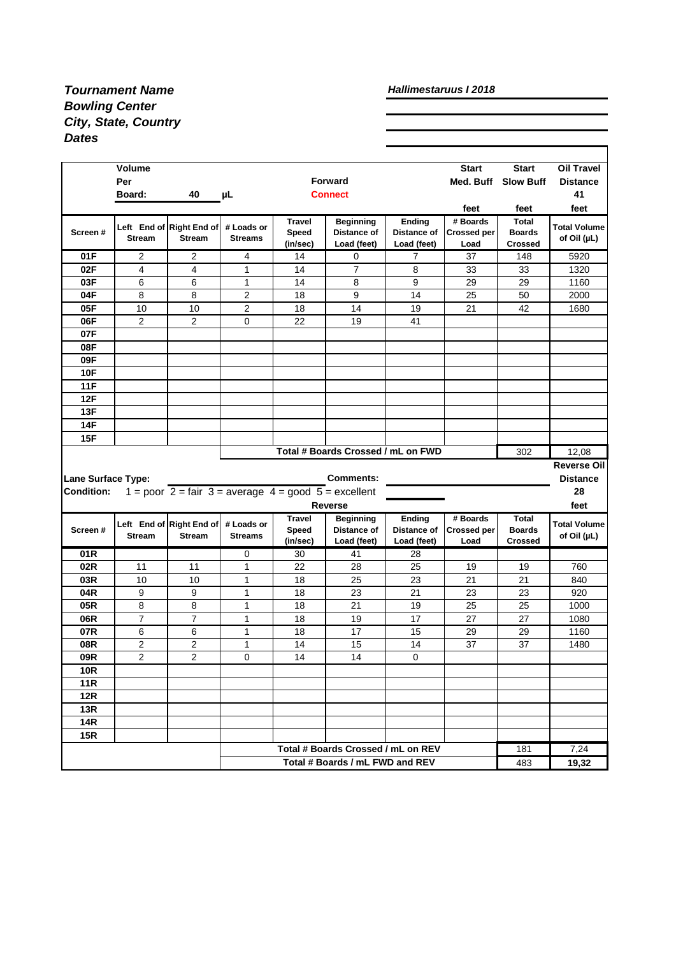## *Tournament Name Bowling Center City, State, Country Dates*

## *Hallimestaruus I 2018*

|                           | <b>Volume</b><br>Per<br>Board: | 40                                                                                    | μL                           |                                    | <b>Forward</b><br><b>Connect</b>                                      |                                      | <b>Start</b><br>Med. Buff              | <b>Start</b><br><b>Slow Buff</b>                | <b>Oil Travel</b><br><b>Distance</b><br>41 |
|---------------------------|--------------------------------|---------------------------------------------------------------------------------------|------------------------------|------------------------------------|-----------------------------------------------------------------------|--------------------------------------|----------------------------------------|-------------------------------------------------|--------------------------------------------|
|                           |                                |                                                                                       |                              |                                    |                                                                       |                                      | feet                                   | feet                                            | feet                                       |
| Screen#                   | <b>Stream</b>                  | Left End of Right End of<br><b>Stream</b>                                             | # Loads or<br><b>Streams</b> | <b>Travel</b><br>Speed<br>(in/sec) | <b>Beginning</b><br>Distance of<br>Load (feet)                        | Ending<br>Distance of<br>Load (feet) | # Boards<br><b>Crossed per</b><br>Load | <b>Total</b><br><b>Boards</b><br><b>Crossed</b> | <b>Total Volume</b><br>of Oil (µL)         |
| 01F                       | 2                              | $\overline{c}$                                                                        | 4                            | 14                                 | 0                                                                     | $\overline{7}$                       | 37                                     | 148                                             | 5920                                       |
| 02F                       | $\overline{\mathbf{4}}$        | 4                                                                                     | $\mathbf{1}$                 | 14                                 | $\overline{7}$                                                        | 8                                    | 33                                     | 33                                              | 1320                                       |
| 03F                       | 6                              | 6                                                                                     | 1                            | 14                                 | 8                                                                     | 9                                    | 29                                     | 29                                              | 1160                                       |
| 04F                       | 8                              | 8                                                                                     | $\overline{2}$               | 18                                 | 9                                                                     | 14                                   | 25                                     | 50                                              | 2000                                       |
| 05F                       | 10                             | 10                                                                                    | 2                            | 18                                 | 14                                                                    | 19                                   | 21                                     | 42                                              | 1680                                       |
| 06F                       | $\overline{c}$                 | 2                                                                                     | 0                            | 22                                 | 19                                                                    | 41                                   |                                        |                                                 |                                            |
| 07F                       |                                |                                                                                       |                              |                                    |                                                                       |                                      |                                        |                                                 |                                            |
| 08F                       |                                |                                                                                       |                              |                                    |                                                                       |                                      |                                        |                                                 |                                            |
| 09F                       |                                |                                                                                       |                              |                                    |                                                                       |                                      |                                        |                                                 |                                            |
| <b>10F</b>                |                                |                                                                                       |                              |                                    |                                                                       |                                      |                                        |                                                 |                                            |
| 11F                       |                                |                                                                                       |                              |                                    |                                                                       |                                      |                                        |                                                 |                                            |
| 12F                       |                                |                                                                                       |                              |                                    |                                                                       |                                      |                                        |                                                 |                                            |
| 13F                       |                                |                                                                                       |                              |                                    |                                                                       |                                      |                                        |                                                 |                                            |
|                           |                                |                                                                                       |                              |                                    |                                                                       |                                      |                                        |                                                 |                                            |
| 14F                       |                                |                                                                                       |                              |                                    |                                                                       |                                      |                                        |                                                 |                                            |
| 15F                       |                                |                                                                                       |                              |                                    |                                                                       |                                      |                                        |                                                 |                                            |
|                           |                                |                                                                                       |                              |                                    | Total # Boards Crossed / mL on FWD                                    |                                      |                                        | 302                                             | 12,08                                      |
|                           |                                |                                                                                       |                              |                                    |                                                                       |                                      |                                        |                                                 |                                            |
| <b>Lane Surface Type:</b> |                                |                                                                                       |                              |                                    | <b>Comments:</b>                                                      |                                      |                                        |                                                 | <b>Distance</b>                            |
| <b>Condition:</b>         |                                | 1 = poor $2 = \text{fair } 3 = \text{average } 4 = \text{good } 5 = \text{excellent}$ |                              |                                    |                                                                       |                                      |                                        |                                                 | 28                                         |
|                           |                                |                                                                                       |                              |                                    | <b>Reverse</b>                                                        |                                      |                                        |                                                 | feet                                       |
|                           |                                |                                                                                       |                              | <b>Travel</b>                      | <b>Beginning</b>                                                      | Ending                               | # Boards                               | Total                                           |                                            |
| Screen#                   |                                | Left End of Right End of                                                              | # Loads or                   | Speed                              | Distance of                                                           | Distance of                          | <b>Crossed per</b>                     | <b>Boards</b>                                   |                                            |
|                           | <b>Stream</b>                  | <b>Stream</b>                                                                         | <b>Streams</b>               | (in/sec)                           | Load (feet)                                                           | Load (feet)                          | Load                                   | <b>Crossed</b>                                  | of Oil (µL)                                |
| 01R                       |                                |                                                                                       | 0                            | 30                                 | 41                                                                    | 28                                   |                                        |                                                 |                                            |
| 02R                       | 11                             | 11                                                                                    | 1                            | 22                                 | 28                                                                    | 25                                   | 19                                     | 19                                              | 760                                        |
| 03R                       | 10                             | 10                                                                                    | 1                            | 18                                 | 25                                                                    | 23                                   | 21                                     | 21                                              | 840                                        |
| 04R                       | 9                              | 9                                                                                     | 1                            | 18                                 | 23                                                                    | 21                                   | 23                                     | 23                                              | 920                                        |
| 05R                       | 8                              | 8                                                                                     | 1                            | 18                                 | 21                                                                    | 19                                   | 25                                     | 25                                              | 1000                                       |
| 06R                       | $\overline{7}$                 | $\overline{7}$                                                                        | $\mathbf{1}$                 | 18                                 | 19                                                                    | 17                                   | 27                                     | 27                                              | 1080                                       |
| 07R                       | 6                              | 6                                                                                     | 1                            | 18                                 | 17                                                                    | 15                                   | 29                                     | 29                                              | 1160                                       |
| 08R                       | 2                              | 2                                                                                     | $\mathbf{1}$                 | 14                                 | 15                                                                    | 14                                   | 37                                     | 37                                              | 1480                                       |
| 09R                       | $\overline{c}$                 | $\overline{c}$                                                                        | 0                            | 14                                 | 14                                                                    | 0                                    |                                        |                                                 |                                            |
| <b>10R</b>                |                                |                                                                                       |                              |                                    |                                                                       |                                      |                                        |                                                 |                                            |
| <b>11R</b>                |                                |                                                                                       |                              |                                    |                                                                       |                                      |                                        |                                                 |                                            |
| 12R                       |                                |                                                                                       |                              |                                    |                                                                       |                                      |                                        |                                                 |                                            |
| 13R                       |                                |                                                                                       |                              |                                    |                                                                       |                                      |                                        |                                                 |                                            |
| <b>14R</b>                |                                |                                                                                       |                              |                                    |                                                                       |                                      |                                        |                                                 |                                            |
| 15R                       |                                |                                                                                       |                              |                                    |                                                                       |                                      |                                        |                                                 | <b>Reverse Oil</b><br><b>Total Volume</b>  |
|                           |                                |                                                                                       |                              |                                    | Total # Boards Crossed / mL on REV<br>Total # Boards / mL FWD and REV |                                      |                                        | 181<br>483                                      | 7,24<br>19,32                              |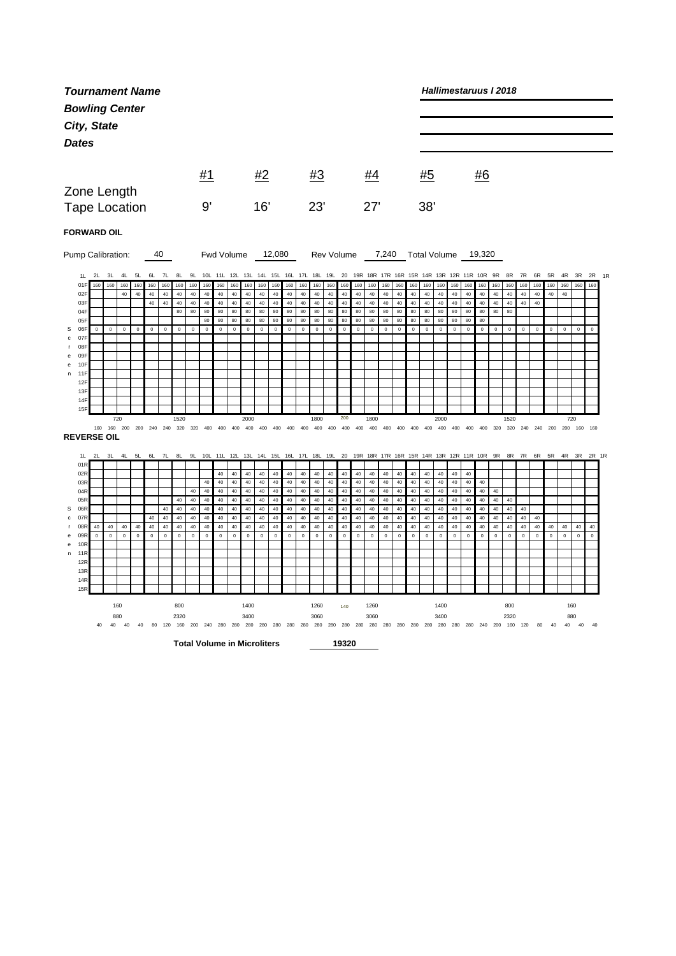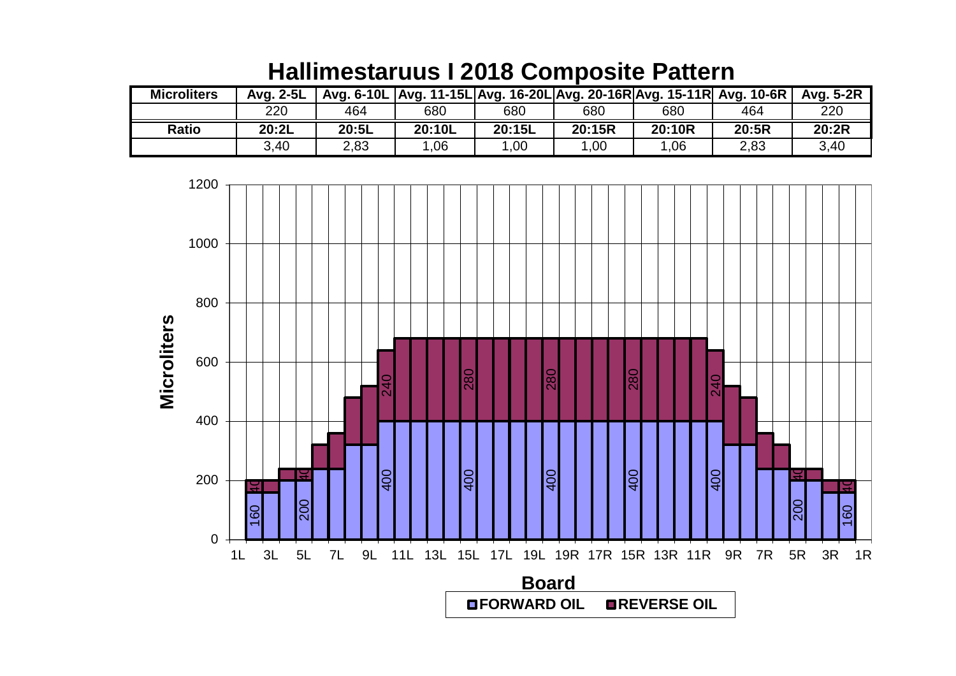| <b>Microliters</b> | Avg. 2-5L |       | Avg. 6-10L   Avg. 11-15L   Avg. 16-20L   Avg. 20-16R   Avg. 15-11R   Avg. 10-6R |        |        |        |       | Avg. 5-2R |
|--------------------|-----------|-------|---------------------------------------------------------------------------------|--------|--------|--------|-------|-----------|
|                    | 220       | 464   | 680                                                                             | 680    | 680    | 680    | 464   | 220       |
| <b>Ratio</b>       | 20:2L     | 20:5L | 20:10L                                                                          | 20:15L | 20:15R | 20:10R | 20:5R | 20:2R     |
|                    | 3,40      | 2,83  | .06                                                                             | 00,    | 1.00   | 1.06   | 2,83  | 3,40      |

## **Hallimestaruus I 2018 Composite Pattern**